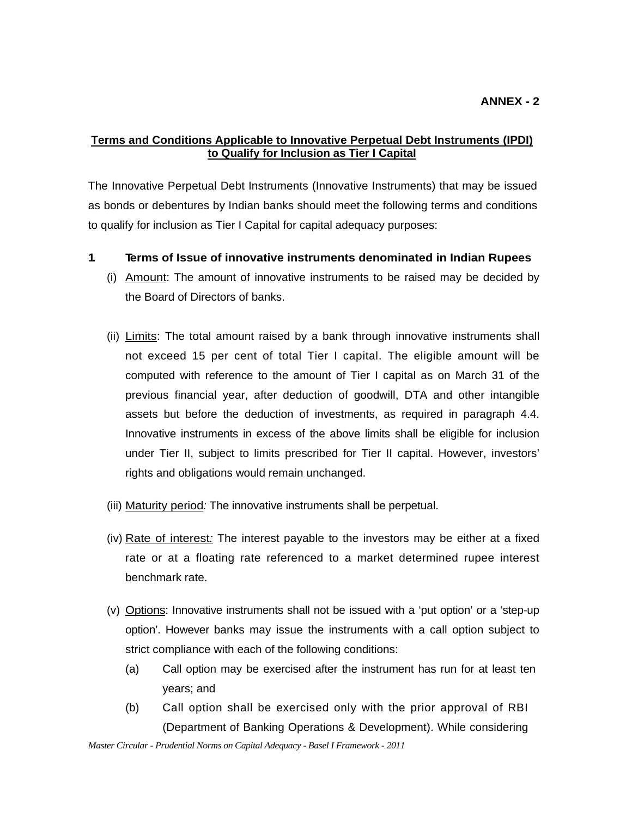### **Terms and Conditions Applicable to Innovative Perpetual Debt Instruments (IPDI) to Qualify for Inclusion as Tier I Capital**

The Innovative Perpetual Debt Instruments (Innovative Instruments) that may be issued as bonds or debentures by Indian banks should meet the following terms and conditions to qualify for inclusion as Tier I Capital for capital adequacy purposes:

- **1. Terms of Issue of innovative instruments denominated in Indian Rupees** 
	- (i) Amount: The amount of innovative instruments to be raised may be decided by the Board of Directors of banks.
	- (ii) Limits: The total amount raised by a bank through innovative instruments shall not exceed 15 per cent of total Tier I capital. The eligible amount will be computed with reference to the amount of Tier I capital as on March 31 of the previous financial year, after deduction of goodwill, DTA and other intangible assets but before the deduction of investments, as required in paragraph 4.4. Innovative instruments in excess of the above limits shall be eligible for inclusion under Tier II, subject to limits prescribed for Tier II capital. However, investors' rights and obligations would remain unchanged.
	- (iii) Maturity period*:* The innovative instruments shall be perpetual.
	- (iv) Rate of interest*:* The interest payable to the investors may be either at a fixed rate or at a floating rate referenced to a market determined rupee interest benchmark rate.
	- (v) Options: Innovative instruments shall not be issued with a 'put option' or a 'step-up option'. However banks may issue the instruments with a call option subject to strict compliance with each of the following conditions:
		- (a) Call option may be exercised after the instrument has run for at least ten years; and
		- (b) Call option shall be exercised only with the prior approval of RBI (Department of Banking Operations & Development). While considering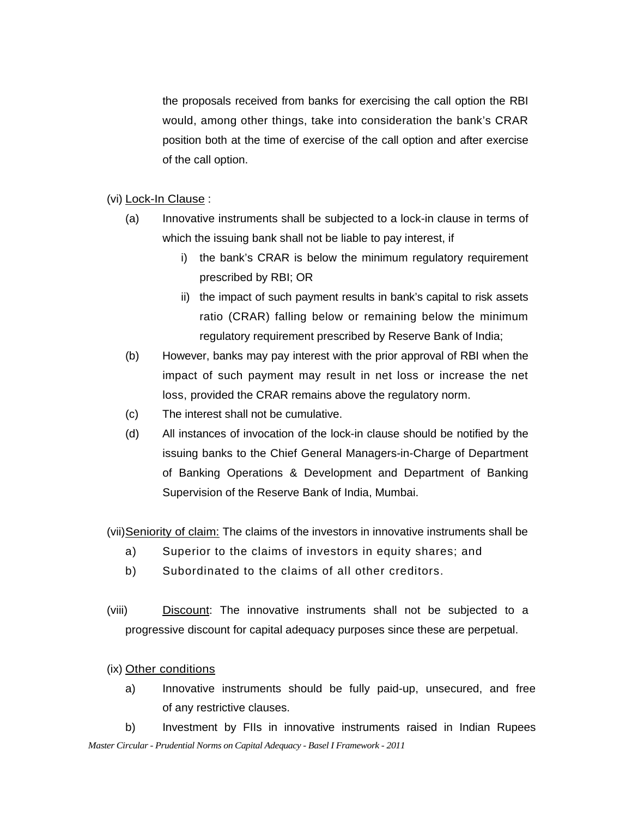the proposals received from banks for exercising the call option the RBI would, among other things, take into consideration the bank's CRAR position both at the time of exercise of the call option and after exercise of the call option.

#### (vi) Lock-In Clause :

- (a) Innovative instruments shall be subjected to a lock-in clause in terms of which the issuing bank shall not be liable to pay interest, if
	- i) the bank's CRAR is below the minimum regulatory requirement prescribed by RBI; OR
	- ii) the impact of such payment results in bank's capital to risk assets ratio (CRAR) falling below or remaining below the minimum regulatory requirement prescribed by Reserve Bank of India;
- (b) However, banks may pay interest with the prior approval of RBI when the impact of such payment may result in net loss or increase the net loss, provided the CRAR remains above the regulatory norm.
- (c) The interest shall not be cumulative.
- (d) All instances of invocation of the lock-in clause should be notified by the issuing banks to the Chief General Managers-in-Charge of Department of Banking Operations & Development and Department of Banking Supervision of the Reserve Bank of India, Mumbai.

(vii) Seniority of claim: The claims of the investors in innovative instruments shall be

- a) Superior to the claims of investors in equity shares; and
- b) Subordinated to the claims of all other creditors.
- (viii) Discount: The innovative instruments shall not be subjected to a progressive discount for capital adequacy purposes since these are perpetual.

### (ix) Other conditions

a) Innovative instruments should be fully paid-up, unsecured, and free of any restrictive clauses.

*Master Circular - Prudential Norms on Capital Adequacy - Basel I Framework - 2011* b) Investment by FIIs in innovative instruments raised in Indian Rupees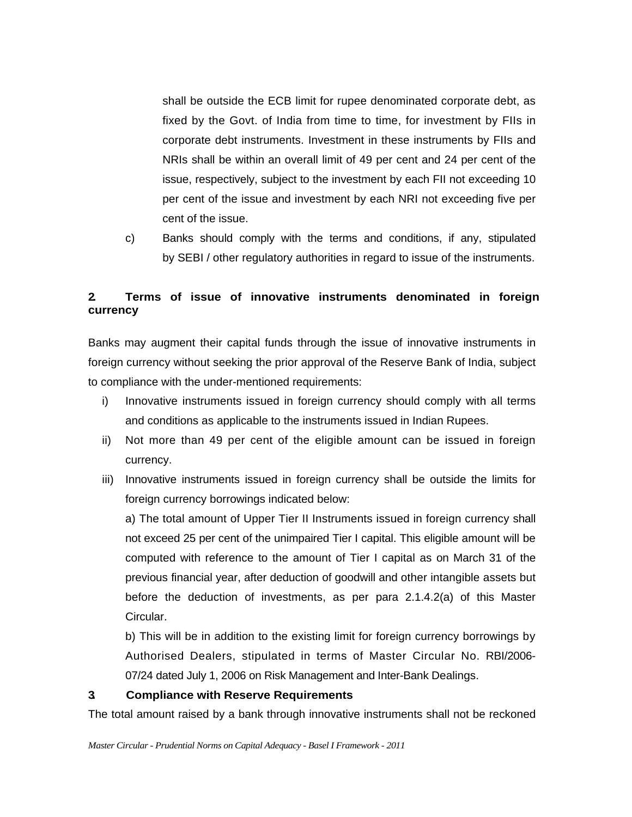shall be outside the ECB limit for rupee denominated corporate debt, as fixed by the Govt. of India from time to time, for investment by FIIs in corporate debt instruments. Investment in these instruments by FIIs and NRIs shall be within an overall limit of 49 per cent and 24 per cent of the issue, respectively, subject to the investment by each FII not exceeding 10 per cent of the issue and investment by each NRI not exceeding five per cent of the issue.

c) Banks should comply with the terms and conditions, if any, stipulated by SEBI / other regulatory authorities in regard to issue of the instruments.

## **2. Terms of issue of innovative instruments denominated in foreign currency**

Banks may augment their capital funds through the issue of innovative instruments in foreign currency without seeking the prior approval of the Reserve Bank of India, subject to compliance with the under-mentioned requirements:

- i) Innovative instruments issued in foreign currency should comply with all terms and conditions as applicable to the instruments issued in Indian Rupees.
- ii) Not more than 49 per cent of the eligible amount can be issued in foreign currency.
- iii) Innovative instruments issued in foreign currency shall be outside the limits for foreign currency borrowings indicated below:

a) The total amount of Upper Tier II Instruments issued in foreign currency shall not exceed 25 per cent of the unimpaired Tier I capital. This eligible amount will be computed with reference to the amount of Tier I capital as on March 31 of the previous financial year, after deduction of goodwill and other intangible assets but before the deduction of investments, as per para 2.1.4.2(a) of this Master Circular.

b) This will be in addition to the existing limit for foreign currency borrowings by Authorised Dealers, stipulated in terms of Master Circular No. RBI/2006- 07/24 dated July 1, 2006 on Risk Management and Inter-Bank Dealings.

### **3. Compliance with Reserve Requirements**

The total amount raised by a bank through innovative instruments shall not be reckoned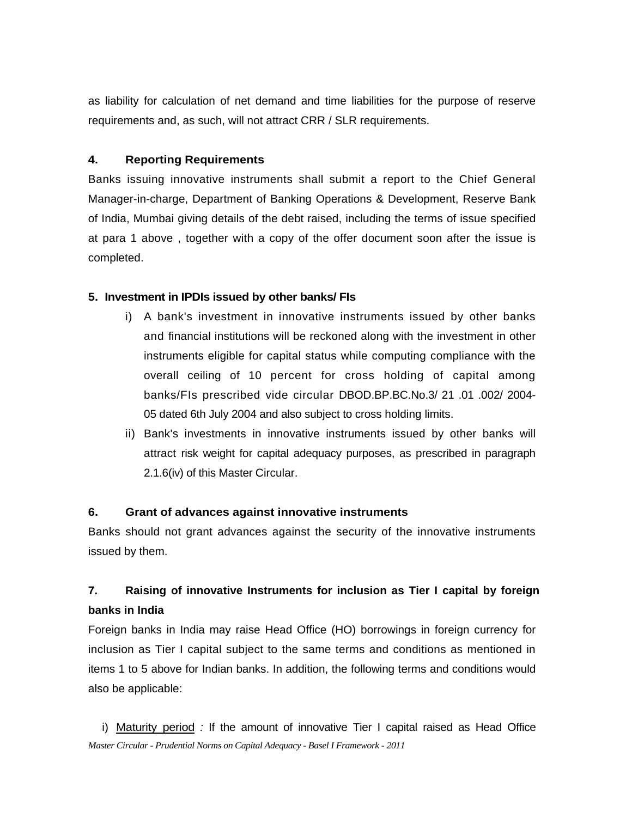as liability for calculation of net demand and time liabilities for the purpose of reserve requirements and, as such, will not attract CRR / SLR requirements.

#### **4. Reporting Requirements**

Banks issuing innovative instruments shall submit a report to the Chief General Manager-in-charge, Department of Banking Operations & Development, Reserve Bank of India, Mumbai giving details of the debt raised, including the terms of issue specified at para 1 above , together with a copy of the offer document soon after the issue is completed.

#### **5. Investment in IPDIs issued by other banks/ FIs**

- i) A bank's investment in innovative instruments issued by other banks and financial institutions will be reckoned along with the investment in other instruments eligible for capital status while computing compliance with the overall ceiling of 10 percent for cross holding of capital among banks/FIs prescribed vide circular DBOD.BP.BC.No.3/ 21 .01 .002/ 2004- 05 dated 6th July 2004 and also subject to cross holding limits.
- ii) Bank's investments in innovative instruments issued by other banks will attract risk weight for capital adequacy purposes, as prescribed in paragraph 2.1.6(iv) of this Master Circular.

#### **6. Grant of advances against innovative instruments**

Banks should not grant advances against the security of the innovative instruments issued by them.

# **7. Raising of innovative Instruments for inclusion as Tier I capital by foreign banks in India**

Foreign banks in India may raise Head Office (HO) borrowings in foreign currency for inclusion as Tier I capital subject to the same terms and conditions as mentioned in items 1 to 5 above for Indian banks. In addition, the following terms and conditions would also be applicable:

*Master Circular - Prudential Norms on Capital Adequacy - Basel I Framework - 2011* i) Maturity period *:* If the amount of innovative Tier I capital raised as Head Office